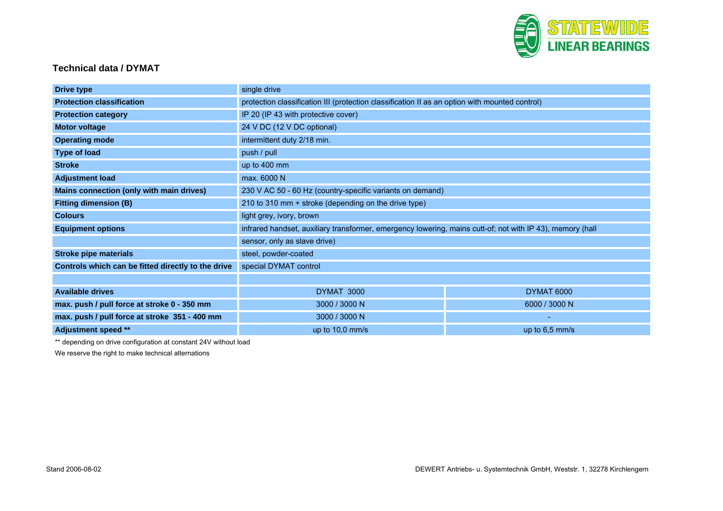

## **Technical data / DYMAT**

| <b>Drive type</b>                                  | single drive                                                                                              |                |
|----------------------------------------------------|-----------------------------------------------------------------------------------------------------------|----------------|
| <b>Protection classification</b>                   | protection classification III (protection classification II as an option with mounted control)            |                |
| <b>Protection category</b>                         | IP 20 (IP 43 with protective cover)                                                                       |                |
| <b>Motor voltage</b>                               | 24 V DC (12 V DC optional)                                                                                |                |
| <b>Operating mode</b>                              | intermittent duty 2/18 min.                                                                               |                |
| <b>Type of load</b>                                | push / pull                                                                                               |                |
| <b>Stroke</b>                                      | up to 400 mm                                                                                              |                |
| <b>Adjustment load</b>                             | max. 6000 N                                                                                               |                |
| Mains connection (only with main drives)           | 230 V AC 50 - 60 Hz (country-specific variants on demand)                                                 |                |
| <b>Fitting dimension (B)</b>                       | 210 to 310 mm + stroke (depending on the drive type)                                                      |                |
| <b>Colours</b>                                     | light grey, ivory, brown                                                                                  |                |
| <b>Equipment options</b>                           | infrared handset, auxiliary transformer, emergency lowering, mains cutt-of; not with IP 43), memory (hall |                |
|                                                    | sensor, only as slave drive)                                                                              |                |
| <b>Stroke pipe materials</b>                       | steel, powder-coated                                                                                      |                |
| Controls which can be fitted directly to the drive | special DYMAT control                                                                                     |                |
|                                                    |                                                                                                           |                |
| <b>Available drives</b>                            | DYMAT 3000                                                                                                | DYMAT 6000     |
| max. push / pull force at stroke 0 - 350 mm        | 3000 / 3000 N                                                                                             | 6000 / 3000 N  |
| max. push / pull force at stroke 351 - 400 mm      | 3000 / 3000 N                                                                                             |                |
| Adjustment speed **                                | up to 10,0 mm/s                                                                                           | up to 6,5 mm/s |

\*\* depending on drive configuration at constant 24V without load

We reserve the right to make technical alternations